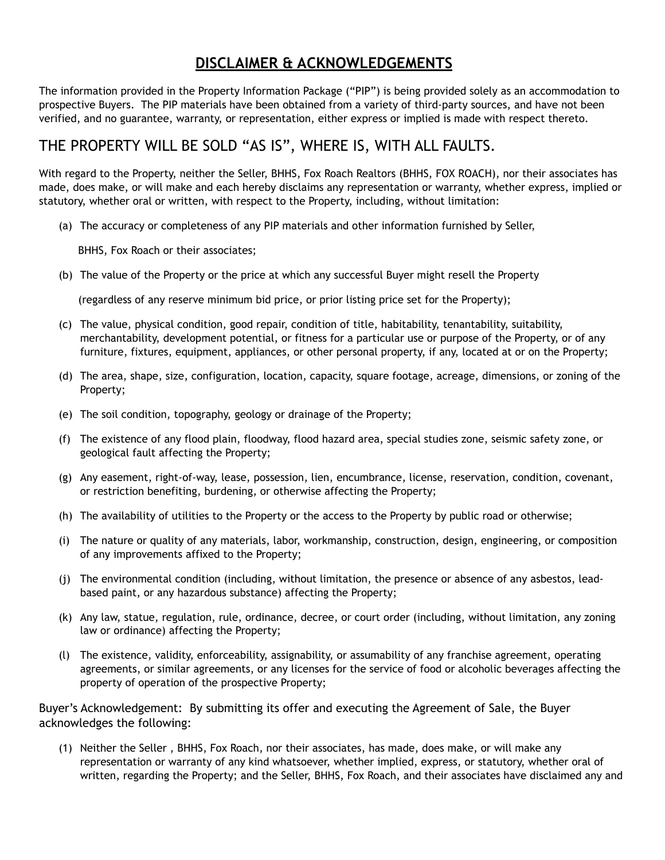## **DISCLAIMER & ACKNOWLEDGEMENTS**

The information provided in the Property Information Package ("PIP") is being provided solely as an accommodation to prospective Buyers. The PIP materials have been obtained from a variety of third-party sources, and have not been verified, and no guarantee, warranty, or representation, either express or implied is made with respect thereto.

## THE PROPERTY WILL BE SOLD "AS IS", WHERE IS, WITH ALL FAULTS.

With regard to the Property, neither the Seller, BHHS, Fox Roach Realtors (BHHS, FOX ROACH), nor their associates has made, does make, or will make and each hereby disclaims any representation or warranty, whether express, implied or statutory, whether oral or written, with respect to the Property, including, without limitation:

(a) The accuracy or completeness of any PIP materials and other information furnished by Seller,

BHHS, Fox Roach or their associates;

(b) The value of the Property or the price at which any successful Buyer might resell the Property

(regardless of any reserve minimum bid price, or prior listing price set for the Property);

- (c) The value, physical condition, good repair, condition of title, habitability, tenantability, suitability, merchantability, development potential, or fitness for a particular use or purpose of the Property, or of any furniture, fixtures, equipment, appliances, or other personal property, if any, located at or on the Property;
- (d) The area, shape, size, configuration, location, capacity, square footage, acreage, dimensions, or zoning of the Property;
- (e) The soil condition, topography, geology or drainage of the Property;
- (f) The existence of any flood plain, floodway, flood hazard area, special studies zone, seismic safety zone, or geological fault affecting the Property;
- (g) Any easement, right-of-way, lease, possession, lien, encumbrance, license, reservation, condition, covenant, or restriction benefiting, burdening, or otherwise affecting the Property;
- (h) The availability of utilities to the Property or the access to the Property by public road or otherwise;
- (i) The nature or quality of any materials, labor, workmanship, construction, design, engineering, or composition of any improvements affixed to the Property;
- (j) The environmental condition (including, without limitation, the presence or absence of any asbestos, leadbased paint, or any hazardous substance) affecting the Property;
- (k) Any law, statue, regulation, rule, ordinance, decree, or court order (including, without limitation, any zoning law or ordinance) affecting the Property;
- (l) The existence, validity, enforceability, assignability, or assumability of any franchise agreement, operating agreements, or similar agreements, or any licenses for the service of food or alcoholic beverages affecting the property of operation of the prospective Property;

Buyer's Acknowledgement: By submitting its offer and executing the Agreement of Sale, the Buyer acknowledges the following:

(1) Neither the Seller , BHHS, Fox Roach, nor their associates, has made, does make, or will make any representation or warranty of any kind whatsoever, whether implied, express, or statutory, whether oral of written, regarding the Property; and the Seller, BHHS, Fox Roach, and their associates have disclaimed any and